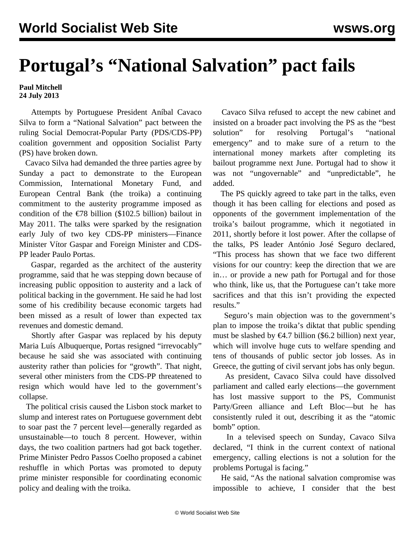## **Portugal's "National Salvation" pact fails**

## **Paul Mitchell 24 July 2013**

 Attempts by Portuguese President Aníbal Cavaco Silva to form a "National Salvation" pact between the ruling Social Democrat-Popular Party (PDS/CDS-PP) coalition government and opposition Socialist Party (PS) have broken down.

 Cavaco Silva had demanded the three parties agree by Sunday a pact to demonstrate to the European Commission, International Monetary Fund, and European Central Bank (the troika) a continuing commitment to the austerity programme imposed as condition of the €78 billion (\$102.5 billion) bailout in May 2011. The talks were sparked by the resignation early July of two key CDS-PP ministers—Finance Minister Vítor Gaspar and Foreign Minister and CDS-PP leader Paulo Portas.

 Gaspar, regarded as the architect of the austerity programme, said that he was stepping down because of increasing public opposition to austerity and a lack of political backing in the government. He said he had lost some of his credibility because economic targets had been missed as a result of lower than expected tax revenues and domestic demand.

 Shortly after Gaspar was replaced by his deputy Maria Luís Albuquerque, Portas resigned "irrevocably" because he said she was associated with continuing austerity rather than policies for "growth". That night, several other ministers from the CDS-PP threatened to resign which would have led to the government's collapse.

 The political crisis caused the Lisbon stock market to slump and interest rates on Portuguese government debt to soar past the 7 percent level—generally regarded as unsustainable—to touch 8 percent. However, within days, the two coalition partners had got back together. Prime Minister Pedro Passos Coelho proposed a cabinet reshuffle in which Portas was promoted to deputy prime minister responsible for coordinating economic policy and dealing with the troika.

 Cavaco Silva refused to accept the new cabinet and insisted on a broader pact involving the PS as the "best solution" for resolving Portugal's "national emergency" and to make sure of a return to the international money markets after completing its bailout programme next June. Portugal had to show it was not "ungovernable" and "unpredictable", he added.

 The PS quickly agreed to take part in the talks, even though it has been calling for elections and posed as opponents of the government implementation of the troika's bailout programme, which it negotiated in 2011, shortly before it lost power. After the collapse of the talks, PS leader António José Seguro declared, "This process has shown that we face two different visions for our country: keep the direction that we are in… or provide a new path for Portugal and for those who think, like us, that the Portuguese can't take more sacrifices and that this isn't providing the expected results."

 Seguro's main objection was to the government's plan to impose the troika's diktat that public spending must be slashed by  $\epsilon$ 4.7 billion (\$6.2 billion) next year, which will involve huge cuts to welfare spending and tens of thousands of public sector job losses. As in Greece, the gutting of civil servant jobs has only begun.

 As president, Cavaco Silva could have dissolved parliament and called early elections—the government has lost massive support to the PS, Communist Party/Green alliance and Left Bloc—but he has consistently ruled it out, describing it as the "atomic bomb" option.

 In a televised speech on Sunday, Cavaco Silva declared, "I think in the current context of national emergency, calling elections is not a solution for the problems Portugal is facing."

 He said, "As the national salvation compromise was impossible to achieve, I consider that the best